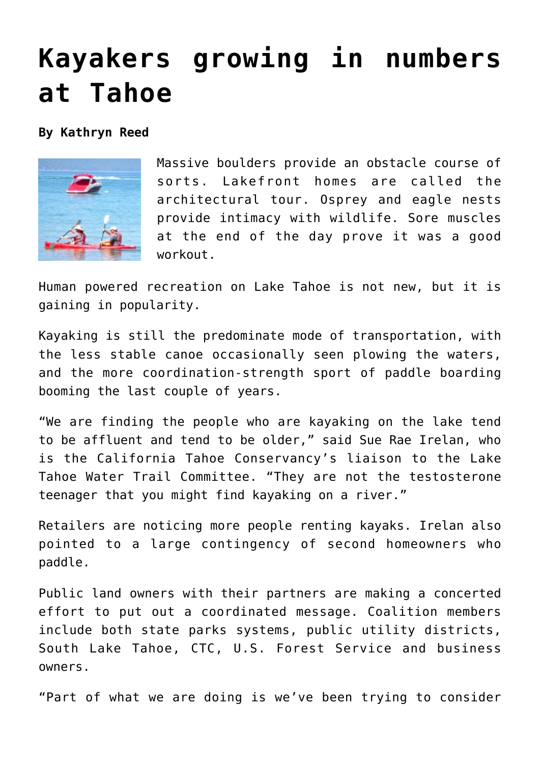## **[Kayakers growing in numbers](https://www.laketahoenews.net/2009/09/kayakers-growing-in-numbers-at-tahoe/) [at Tahoe](https://www.laketahoenews.net/2009/09/kayakers-growing-in-numbers-at-tahoe/)**

**By Kathryn Reed**



Massive boulders provide an obstacle course of sorts. Lakefront homes are called the architectural tour. Osprey and eagle nests provide intimacy with wildlife. Sore muscles at the end of the day prove it was a good workout.

Human powered recreation on Lake Tahoe is not new, but it is gaining in popularity.

Kayaking is still the predominate mode of transportation, with the less stable canoe occasionally seen plowing the waters, and the more coordination-strength sport of paddle boarding booming the last couple of years.

"We are finding the people who are kayaking on the lake tend to be affluent and tend to be older," said Sue Rae Irelan, who is the California Tahoe Conservancy's liaison to the Lake Tahoe Water Trail Committee. "They are not the testosterone teenager that you might find kayaking on a river."

Retailers are noticing more people renting kayaks. Irelan also pointed to a large contingency of second homeowners who paddle.

Public land owners with their partners are making a concerted effort to put out a coordinated message. Coalition members include both state parks systems, public utility districts, South Lake Tahoe, CTC, U.S. Forest Service and business owners.

"Part of what we are doing is we've been trying to consider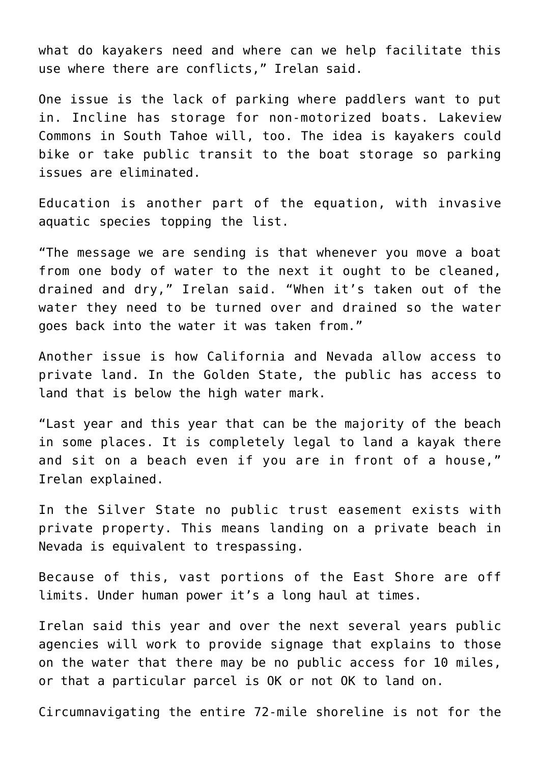what do kayakers need and where can we help facilitate this use where there are conflicts," Irelan said.

One issue is the lack of parking where paddlers want to put in. Incline has storage for non-motorized boats. Lakeview Commons in South Tahoe will, too. The idea is kayakers could bike or take public transit to the boat storage so parking issues are eliminated.

Education is another part of the equation, with invasive aquatic species topping the list.

"The message we are sending is that whenever you move a boat from one body of water to the next it ought to be cleaned, drained and dry," Irelan said. "When it's taken out of the water they need to be turned over and drained so the water goes back into the water it was taken from."

Another issue is how California and Nevada allow access to private land. In the Golden State, the public has access to land that is below the high water mark.

"Last year and this year that can be the majority of the beach in some places. It is completely legal to land a kayak there and sit on a beach even if you are in front of a house," Irelan explained.

In the Silver State no public trust easement exists with private property. This means landing on a private beach in Nevada is equivalent to trespassing.

Because of this, vast portions of the East Shore are off limits. Under human power it's a long haul at times.

Irelan said this year and over the next several years public agencies will work to provide signage that explains to those on the water that there may be no public access for 10 miles, or that a particular parcel is OK or not OK to land on.

Circumnavigating the entire 72-mile shoreline is not for the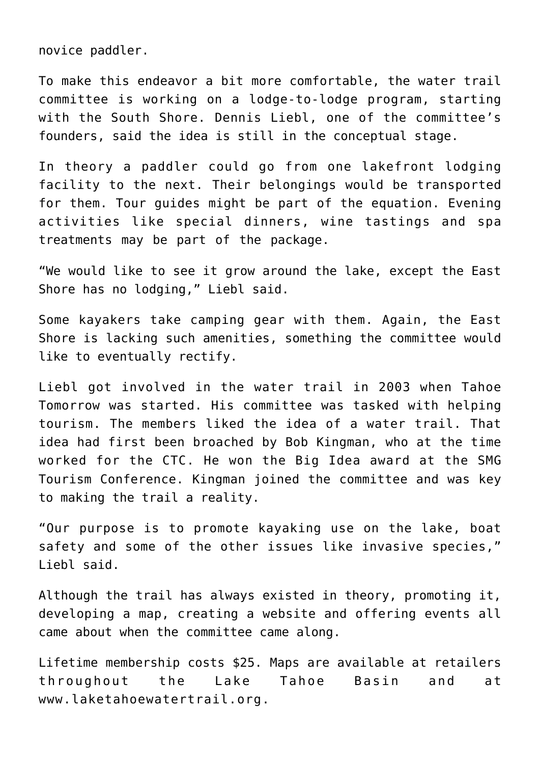novice paddler.

To make this endeavor a bit more comfortable, the water trail committee is working on a lodge-to-lodge program, starting with the South Shore. Dennis Liebl, one of the committee's founders, said the idea is still in the conceptual stage.

In theory a paddler could go from one lakefront lodging facility to the next. Their belongings would be transported for them. Tour guides might be part of the equation. Evening activities like special dinners, wine tastings and spa treatments may be part of the package.

"We would like to see it grow around the lake, except the East Shore has no lodging," Liebl said.

Some kayakers take camping gear with them. Again, the East Shore is lacking such amenities, something the committee would like to eventually rectify.

Liebl got involved in the water trail in 2003 when Tahoe Tomorrow was started. His committee was tasked with helping tourism. The members liked the idea of a water trail. That idea had first been broached by Bob Kingman, who at the time worked for the CTC. He won the Big Idea award at the SMG Tourism Conference. Kingman joined the committee and was key to making the trail a reality.

"Our purpose is to promote kayaking use on the lake, boat safety and some of the other issues like invasive species," Liebl said.

Although the trail has always existed in theory, promoting it, developing a map, creating a website and offering events all came about when the committee came along.

Lifetime membership costs \$25. Maps are available at retailers throughout the Lake Tahoe Basin and at www.laketahoewatertrail.org.